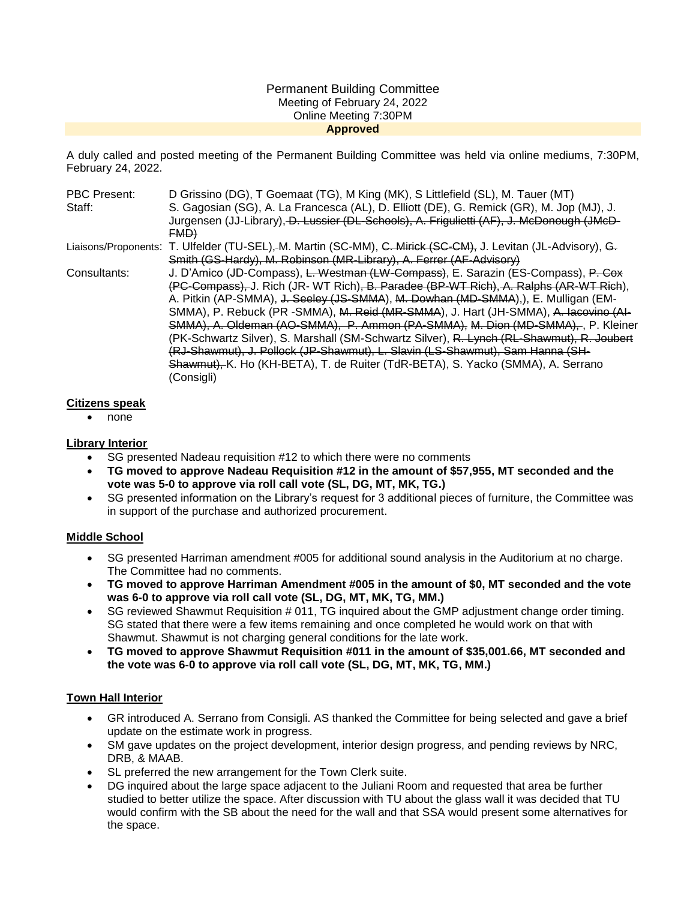#### Permanent Building Committee Meeting of February 24, 2022 Online Meeting 7:30PM **Approved**

A duly called and posted meeting of the Permanent Building Committee was held via online mediums, 7:30PM, February 24, 2022.

| <b>PBC Present:</b> | D Grissino (DG), T Goemaat (TG), M King (MK), S Littlefield (SL), M. Tauer (MT)                               |
|---------------------|---------------------------------------------------------------------------------------------------------------|
| Staff:              | S. Gagosian (SG), A. La Francesca (AL), D. Elliott (DE), G. Remick (GR), M. Jop (MJ), J.                      |
|                     | Jurgensen (JJ-Library), D. Lussier (DL-Schools), A. Frigulietti (AF), J. McDonough (JMcD-                     |
|                     | FMD                                                                                                           |
|                     | Liaisons/Proponents: T. Ulfelder (TU-SEL),-M. Martin (SC-MM), C. Mirick (SC-CM), J. Levitan (JL-Advisory), G. |
|                     | Smith (GS-Hardy), M. Robinson (MR-Library), A. Ferrer (AF-Advisory)                                           |
| Consultants:        | J. D'Amico (JD-Compass), L. Westman (LW-Compass), E. Sarazin (ES-Compass), P. Cox                             |
|                     | (PC-Compass), J. Rich (JR- WT Rich), B. Paradee (BP-WT Rich), A. Ralphs (AR-WT Rich),                         |
|                     | A. Pitkin (AP-SMMA), J. Seeley (JS-SMMA), M. Dowhan (MD-SMMA),), E. Mulligan (EM-                             |
|                     | SMMA), P. Rebuck (PR -SMMA), M. Reid (MR-SMMA), J. Hart (JH-SMMA), A. Iacovino (AI-                           |
|                     | SMMA), A. Oldeman (AO-SMMA), P. Ammon (PA-SMMA), M. Dion (MD-SMMA), P. Kleiner                                |
|                     | (PK-Schwartz Silver), S. Marshall (SM-Schwartz Silver), R. Lynch (RL-Shawmut), R. Joubert                     |
|                     | (RJ-Shawmut), J. Pollock (JP-Shawmut), L. Slavin (LS-Shawmut), Sam Hanna (SH-                                 |
|                     | Shawmut), K. Ho (KH-BETA), T. de Ruiter (TdR-BETA), S. Yacko (SMMA), A. Serrano                               |
|                     | (Consiali)                                                                                                    |

#### **Citizens speak**

• none

## **Library Interior**

- SG presented Nadeau requisition #12 to which there were no comments
- **TG moved to approve Nadeau Requisition #12 in the amount of \$57,955, MT seconded and the vote was 5-0 to approve via roll call vote (SL, DG, MT, MK, TG.)**
- SG presented information on the Library's request for 3 additional pieces of furniture, the Committee was in support of the purchase and authorized procurement.

## **Middle School**

- SG presented Harriman amendment #005 for additional sound analysis in the Auditorium at no charge. The Committee had no comments.
- **TG moved to approve Harriman Amendment #005 in the amount of \$0, MT seconded and the vote was 6-0 to approve via roll call vote (SL, DG, MT, MK, TG, MM.)**
- SG reviewed Shawmut Requisition # 011, TG inquired about the GMP adjustment change order timing. SG stated that there were a few items remaining and once completed he would work on that with Shawmut. Shawmut is not charging general conditions for the late work.
- **TG moved to approve Shawmut Requisition #011 in the amount of \$35,001.66, MT seconded and the vote was 6-0 to approve via roll call vote (SL, DG, MT, MK, TG, MM.)**

## **Town Hall Interior**

- GR introduced A. Serrano from Consigli. AS thanked the Committee for being selected and gave a brief update on the estimate work in progress.
- SM gave updates on the project development, interior design progress, and pending reviews by NRC, DRB, & MAAB.
- SL preferred the new arrangement for the Town Clerk suite.
- DG inquired about the large space adjacent to the Juliani Room and requested that area be further studied to better utilize the space. After discussion with TU about the glass wall it was decided that TU would confirm with the SB about the need for the wall and that SSA would present some alternatives for the space.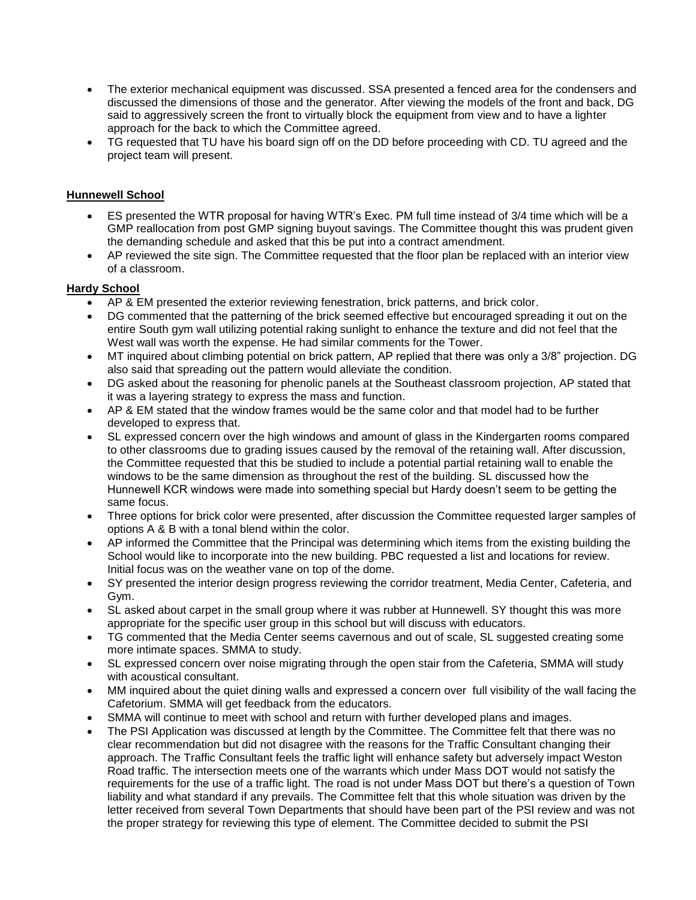- The exterior mechanical equipment was discussed. SSA presented a fenced area for the condensers and discussed the dimensions of those and the generator. After viewing the models of the front and back, DG said to aggressively screen the front to virtually block the equipment from view and to have a lighter approach for the back to which the Committee agreed.
- TG requested that TU have his board sign off on the DD before proceeding with CD. TU agreed and the project team will present.

# **Hunnewell School**

- ES presented the WTR proposal for having WTR's Exec. PM full time instead of 3/4 time which will be a GMP reallocation from post GMP signing buyout savings. The Committee thought this was prudent given the demanding schedule and asked that this be put into a contract amendment.
- AP reviewed the site sign. The Committee requested that the floor plan be replaced with an interior view of a classroom.

## **Hardy School**

- AP & EM presented the exterior reviewing fenestration, brick patterns, and brick color.
- DG commented that the patterning of the brick seemed effective but encouraged spreading it out on the entire South gym wall utilizing potential raking sunlight to enhance the texture and did not feel that the West wall was worth the expense. He had similar comments for the Tower.
- MT inquired about climbing potential on brick pattern, AP replied that there was only a 3/8" projection. DG also said that spreading out the pattern would alleviate the condition.
- DG asked about the reasoning for phenolic panels at the Southeast classroom projection, AP stated that it was a layering strategy to express the mass and function.
- AP & EM stated that the window frames would be the same color and that model had to be further developed to express that.
- SL expressed concern over the high windows and amount of glass in the Kindergarten rooms compared to other classrooms due to grading issues caused by the removal of the retaining wall. After discussion, the Committee requested that this be studied to include a potential partial retaining wall to enable the windows to be the same dimension as throughout the rest of the building. SL discussed how the Hunnewell KCR windows were made into something special but Hardy doesn't seem to be getting the same focus.
- Three options for brick color were presented, after discussion the Committee requested larger samples of options A & B with a tonal blend within the color.
- AP informed the Committee that the Principal was determining which items from the existing building the School would like to incorporate into the new building. PBC requested a list and locations for review. Initial focus was on the weather vane on top of the dome.
- SY presented the interior design progress reviewing the corridor treatment, Media Center, Cafeteria, and Gym.
- SL asked about carpet in the small group where it was rubber at Hunnewell. SY thought this was more appropriate for the specific user group in this school but will discuss with educators.
- TG commented that the Media Center seems cavernous and out of scale, SL suggested creating some more intimate spaces. SMMA to study.
- SL expressed concern over noise migrating through the open stair from the Cafeteria, SMMA will study with acoustical consultant.
- MM inquired about the quiet dining walls and expressed a concern over full visibility of the wall facing the Cafetorium. SMMA will get feedback from the educators.
- SMMA will continue to meet with school and return with further developed plans and images.
- The PSI Application was discussed at length by the Committee. The Committee felt that there was no clear recommendation but did not disagree with the reasons for the Traffic Consultant changing their approach. The Traffic Consultant feels the traffic light will enhance safety but adversely impact Weston Road traffic. The intersection meets one of the warrants which under Mass DOT would not satisfy the requirements for the use of a traffic light. The road is not under Mass DOT but there's a question of Town liability and what standard if any prevails. The Committee felt that this whole situation was driven by the letter received from several Town Departments that should have been part of the PSI review and was not the proper strategy for reviewing this type of element. The Committee decided to submit the PSI